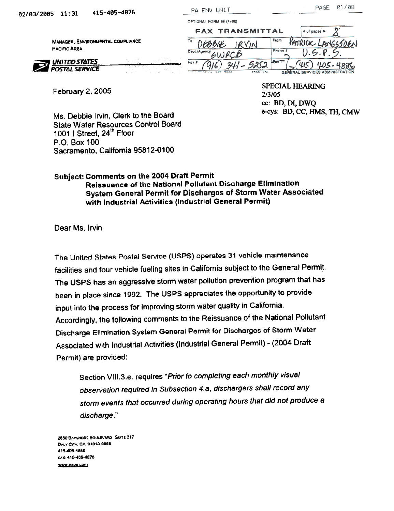| 5 11:31                                                  | 415-405-4876       | PA ENV UNIT                                  |     |                        |                 | PAGE                               | 01/08 |
|----------------------------------------------------------|--------------------|----------------------------------------------|-----|------------------------|-----------------|------------------------------------|-------|
|                                                          |                    | OPTIONAI, FORM 99 (7-90)                     |     |                        |                 |                                    |       |
|                                                          |                    |                                              |     | <b>FAX TRANSMITTAL</b> |                 | $#$ of pages $\blacktriangleright$ |       |
| MANAGER, ENVIRONMENTAL COMPLIANCE<br><b>PACIFIC AREA</b> |                    | То<br>Dept./Agency                           |     |                        | From<br>Phone # |                                    |       |
| <b>UNITED STATES</b><br>POSTAL SERVICE                   | the control of the | $F$ ox $\hat{\mathbf{x}}$<br>$2\pi$ as $\pi$ | 241 | EAAA INS               | <b>SERVITY</b>  | GENERAL SERVICES ADMINISTRATION    |       |

February 2,2005

**SPECIAL HEARING** 2/3/05 cc: BD, 01, DWQ e-cys: BD, CC, HMS, TH, CMW

Ms. Debbie Irvin, Clerk to the Board State Water Resources Control Board 1001 | Street, 24<sup>th</sup> Floor P.O. Box 100 Sacramento, California 95812-0100

## Subject: Comments on the 2004 Draft Permit Reissuance of the National Pollutant Discharge Elimination System General Permit for Discharges of Storm Water Associated with Industrial Activitics (Industrial General Permit)

Dear Ms. Irvin:

The United States Postal Service (USPS) operates 31 vehicle maintenance facilities and four vehicle fueling sites in California subject to the General Permit. The USPS has an aggressive storm water pollution prevention program that has been in place since 1992. The USPS appreciates the opportunity to provide input into the process for improving storm water quality in California. Accordingly, the following comments to the Reissuance of the National Pollutant Discharge Elimination System General Permit for Discharges of Storm Water Associated with Industrial Activities (Industrial General Permit) - (2004 Draft Permit) are provided:

Section VIII.3.e. requires "Prior to completing each monthly visual observation required in Subsection 4.a, dischargers shall record any storm events that occurred during operating hours that did not produce a discharge."

2650 BAVSHORE BOULEVARD SUITE 217 DALY CITY, CA 04013 0064 415-405-4886 FAX: 415-405-4878 WWW.TI2N2 COIL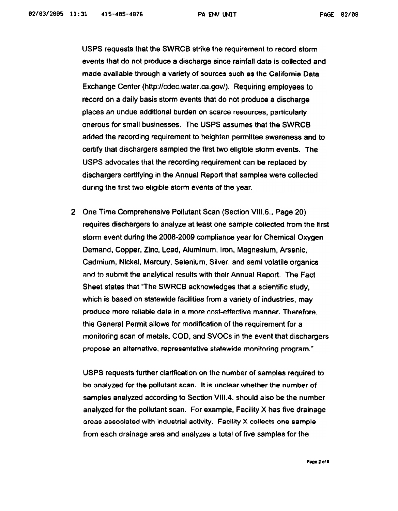USPS requests that the SWRCB strike the requirement to record storm events that do not produce a discharge since rainfall data is collected and made available through a variety of sources such as the California Data Exchange Center (http://cdec.water.ca.gov/). Requiring employees to record on a daily basis storm events that do not produce a discharge places an undue additional burden on scarce resources, particularly onerous for small businesses. added the recording requirement to heighten permittee awareness and to certify that dischargers sampled the first two eligible storm events. The USPS advocates that the recording requirement can be replaced by dischargers certifying in the Annual Report that samples were collected during the first two eligible storm events of the year.

2 One Time Comprehensive Pollutant Scan (Section VIII.6., Page 20) requires dischargers to analyze at least one sample collected trom the first storm event during the 2008-2009 compliance year for Chemical Oxygen Demand, Copper, Zinc. Lead, Aluminum, Iron, Magnesium, Arsenic, Cadmium, Nickel, Mercury, Selenium, Silver, and and to submit the analytical results with their Annual Report. The Fact Sheet states that "The SWRCB acknowledges that a scientific study, which is based on statewide facilities from a variety of industries, may produce more reliable data in a more cost-effective manner. Therefore, this General Permit allows for modification of the requirement for a monitoring scan of metals, COD, and SVOCs in the event that dischargers propose an alternative, representative statewide monitoring program."

USPS requests further clarification on the number of samples required to be analyzed for the pollutant scan. It is unclear whether the number of samples analyzed according to Section VIII.4. should also be the number analyzed for the pollutant scan. For example, Facility  $X$  has five drainage areas associated with industrial activity. Facility X collects one sample from each drainage area and analyzes a total of five samples for the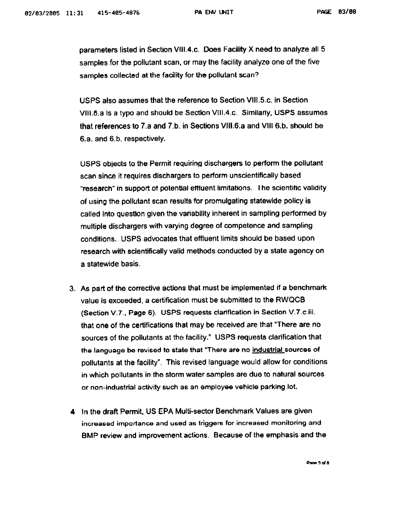parameters listed in Section VIII.4.c. Does Facility X need to analyze all 5 samples for the pollutant scan, or may the facility analyze one of the five samples collected at the facility for the pollutant scan?

USPS also assumes that the reference to Section VIII.S.c. in Section VIII.B.a Is a typo and should be Section VIII.4.c. Similarly. USPS assumes that references to 7.a and 7.b. in Sections VIII.6.a and VIII 6.b. should be 6.a. and B.b. respectively.

USPS objects to the Permit requiring dischargers to perform the pollutant scan since it requires dischargers to perform unscientifically based "research" in support of potential effluent limitations. The scientific validity of using the pollutant scan results for promulgating statewide policy is called Into question given the variability inherent in sampling performed by multiple dischargers with varying degree of competence and sampling conditions. USPS advocates that effluent limits should be based upon research with scientifically valid methods conducted by a state agency on a statewide basis.

- 3. As part of the corrective actions that must be implemented if a benchmark value is exceeded, a certification must be submitted to the RWQCB (Section V. 7., Page 6). USPS requests clarification in Section V. 7 .c.iii. that one of the certifications that may be received are that "There are no sources of the pollutants at the facility." USPS requests clarification that the language be revised to state that "There are no industrial sources of pollutants at the facility", This revised language would allow for conditions in which pollutants in the storm water samples are due to natural sources or non-industrial activity such as an employee vehicle parking lot.
- 4 In the draft Permit, US EPA Multi-sector Benchmark Values are given increased importance and used as triggers for increased monitoring and BMP review and improvement actions. Because of the emphasis and the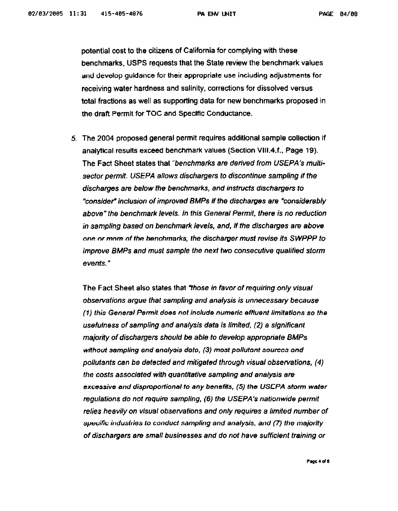potential cost to the citizens of California for complying benchmarks, USPS requests that the State review the benchmark values and develop guidance for their appropriate use including adjustments for receiving water hardness and salinity, corrections for dissolved versus total fractions as well as supporting data for new benchmarks proposed in the draft Permit for TOC and Specific Conductance.

5. The 2004 proposed general permit requires additional sample collection if analytical results exceed benchmark values (Section VIII.4.t., Page 19). The Fact Sheet states that "benchmarks are derived from USEPA's multisector permit. USEPA allows dischargers to discontinue sampling if the discharges are below the benchmarks, and instructs dischargers to "consider" inclusion of improved BMPs if the discharges are "considerably above" the benchmark levels. In this General Permit, there is no reduction in sampling based on benchmark levels, and, If the discharges are above one or more of the benchmarks, the discharger must revise its SWPPP to improve BMPs and must sample the next two consecutive qualified storm events."

The Fact Sheet also states that "those in favor of requiring only visual observations argue that sampling and analysis is unnecessary because (1) this General Permit does not Include numeric effluent limitations so the usefulness of sampling and analysis data is limited. (2) a significant majority of dischargers should be able to develop appropriate BMPs without sampling and analysis data, (3) most pollutant sources and pollutants can be detected and mitigated through visual observations, (4) the costs associated with quantitative sampling and analysis are excessive and disproportional to any benefits, (5) the USEPA storm water regulations do not require sampling, (6) the USEPA's nationwide permit relies heavily on visual observations and only requires a limited number of specific industries to conduct sampling and analysis, and (7) the majority of dischargers are small businesses and do not have sufficient training or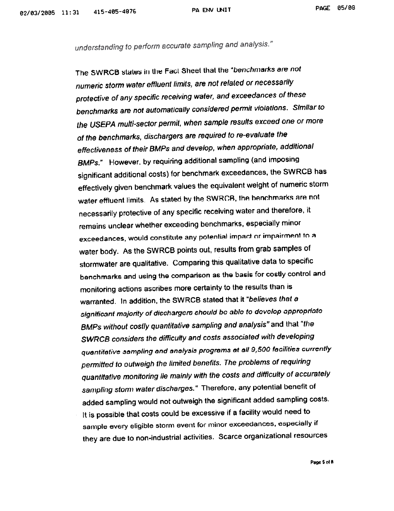## PA ENV UNIT PAGE 85/88

understanding to perform accurate sampling and analysis."

The SWRCB states in the Fact Sheet that the "benchmarks are not numeric storm water effluent limits, are not related or necessarily protective of any specific receiving water, and exceedances of these benchmarks are not automatically considered permit violations. Similar to the USEPA multi-sector permit, when sample results exceed one or more of the benchmarks, dischargers are required to re-evaluate the effectiveness of their BMPs and develop, when appropriate, additional BMPs." However. by requiring additional sampling (and imposing significant additional costs) for benchmark exceedances, the SWRCB has effectively given benchmark values the equivalent weight of numeric storm water effluent limits. As stated by the SWRCB, the benchmarks are not necessarily protective of any specific receiving water and therefore, it remains unclear whether exceeding benchmarks, especially minor exceedances, would constitute any potential impact or impairment to a water body. As the SWRCB points out, results from grab samples of stormwater are qualitative. Comparing this qualitative data to specific benchmarks and using the comparison as the basis for costly control and monitoring actions ascribes more certainty to the results than is warranted. In addition, the SWRCB stated that it "believes that a significant majority of dicchargero should bo able to dovolop approprlato BMPs without costly quantitative sampling and analysis" and that "the SWRCB considers the difficulty and costs associated with developing quantitative sampling and analysis programs at all 9,500 facilities currently permitted to outweigh the limited benefits. The problems of requiring quantitative monitoring lie mainly with the costs and diffIculty of accurately sampling storm water discharges." Therefore, any potential benefit of added sampling would not outweigh the significant added sampling costs. It is possible that costs could be excessive if a facility would need to sample every eligible storm event for minor exceedances, especially if they are due to non-industrial activities. Scarce organizational resources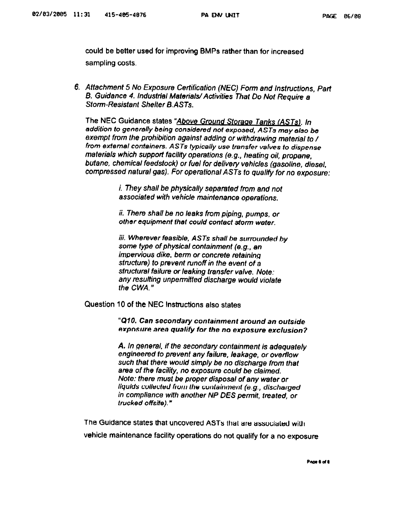could be better used for improving BMPs rather than for increased sampling costs.

6. Attachment 5 No Exposure Certification (NEC) Form and Instructions, Part B. Guidance 4. Industrial Materials/ Activities That Do Not Require a Storm-Resistant Shelter B.ASTs.

The NEC Guidance states "Above Ground Storage Tanks (ASTs). In addition to generally being considered not exposed, ASTs may also be exempt from the prohibition against adding or withdrawing material to / from external containers. ASTs typically use transfer valves to dispense materials which support facility operations (e.g., heating oil, propane, butane, chemical feedstock) or fuel for delivery vehicles (gasoline, diesel, compressed natural gas). For operational ASTs to qualify for no exposure:

> i. They shall be physically separated from and not associated with vehicle maintenance operations.

> ii. There shall be no leaks from piping, pumps, or other equipment that could contact storm water.

iii. Wherever feasible, ASTs shall be surrounded by<br>some type of physical containment (e.g., an impervious dike, berm or concrete retainlnQ structure) to prevent runoff in the event of a structural failure or leaking transfer valve. Note: any resulting unpermitted discharge would violate the CWA."

Question 10 of the NEC Instructions also states

"Q10. Can secondary containment around an outside exposure area qualify for the no exposure exclusion?

A. In general, if the secondary containment is adequately engineered to prevent any failure. leakage, or overllow such that there would simply be no discharge from that area of the facility, no exposure could be claimed. Note: there must be proper disposal of any water or liquids collected from the containment (e.g., discharged in compliance with another NP DES permit, treated, or trucked offsite)."

The Guidance states that uncovered ASTs that are associated with vehicle maintenance facility operations do not qualify for a no exposure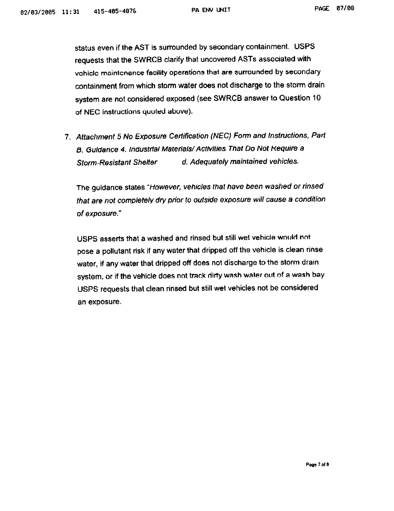status even if the AST is surrounded by secondary containment. USPS requests that the SWRCB clarify that uncovered ASTs associated with vohiclc maintcnance facility operations that are surrounded by secondary containment from which storm water does not discharge to the storm drain system are not considered exposed (see SWRCB answer to Question 10 of NEC instructions quuled above).

7. Attachment 5 No Exposure Certification (NEC) Form and Instructions, Part B. Guidance 4. Industrial Materials/Activities That Do Not Require a Storm-Resistant Shelter d. Adequately maintained vehicles.

The guidance states "However, vehicles that have been washed or rinsed that are not completely dry prior to outside exposure will cause a condition of exposure."

USPS asserts that a washed and rinsed but still wet vehicle would not pose a pollutant risk if any water that dripped off the vehicle is clean rinse water, if any water that dripped off does not discharge to the storm drain system, or if the vehicle does not track dirty wash water out of a wash bay. USPS requests that clean rinsed but still wet vehicles not be considered an exposure.